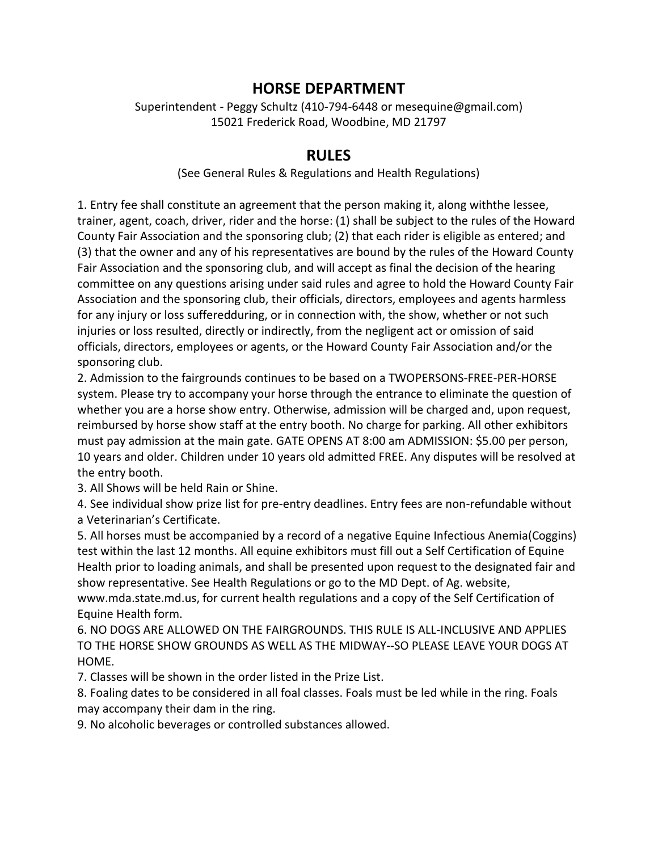## **HORSE DEPARTMENT**

Superintendent - Peggy Schultz (410-794-6448 or mesequine@gmail.com) 15021 Frederick Road, Woodbine, MD 21797

## **RULES**

(See General Rules & Regulations and Health Regulations)

1. Entry fee shall constitute an agreement that the person making it, along withthe lessee, trainer, agent, coach, driver, rider and the horse: (1) shall be subject to the rules of the Howard County Fair Association and the sponsoring club; (2) that each rider is eligible as entered; and (3) that the owner and any of his representatives are bound by the rules of the Howard County Fair Association and the sponsoring club, and will accept as final the decision of the hearing committee on any questions arising under said rules and agree to hold the Howard County Fair Association and the sponsoring club, their officials, directors, employees and agents harmless for any injury or loss sufferedduring, or in connection with, the show, whether or not such injuries or loss resulted, directly or indirectly, from the negligent act or omission of said officials, directors, employees or agents, or the Howard County Fair Association and/or the sponsoring club.

2. Admission to the fairgrounds continues to be based on a TWOPERSONS-FREE-PER-HORSE system. Please try to accompany your horse through the entrance to eliminate the question of whether you are a horse show entry. Otherwise, admission will be charged and, upon request, reimbursed by horse show staff at the entry booth. No charge for parking. All other exhibitors must pay admission at the main gate. GATE OPENS AT 8:00 am ADMISSION: \$5.00 per person, 10 years and older. Children under 10 years old admitted FREE. Any disputes will be resolved at the entry booth.

3. All Shows will be held Rain or Shine.

4. See individual show prize list for pre-entry deadlines. Entry fees are non-refundable without a Veterinarian's Certificate.

5. All horses must be accompanied by a record of a negative Equine Infectious Anemia(Coggins) test within the last 12 months. All equine exhibitors must fill out a Self Certification of Equine Health prior to loading animals, and shall be presented upon request to the designated fair and show representative. See Health Regulations or go to the MD Dept. of Ag. website, www.mda.state.md.us, for current health regulations and a copy of the Self Certification of

Equine Health form. 6. NO DOGS ARE ALLOWED ON THE FAIRGROUNDS. THIS RULE IS ALL-INCLUSIVE AND APPLIES TO THE HORSE SHOW GROUNDS AS WELL AS THE MIDWAY--SO PLEASE LEAVE YOUR DOGS AT HOME.

7. Classes will be shown in the order listed in the Prize List.

8. Foaling dates to be considered in all foal classes. Foals must be led while in the ring. Foals may accompany their dam in the ring.

9. No alcoholic beverages or controlled substances allowed.